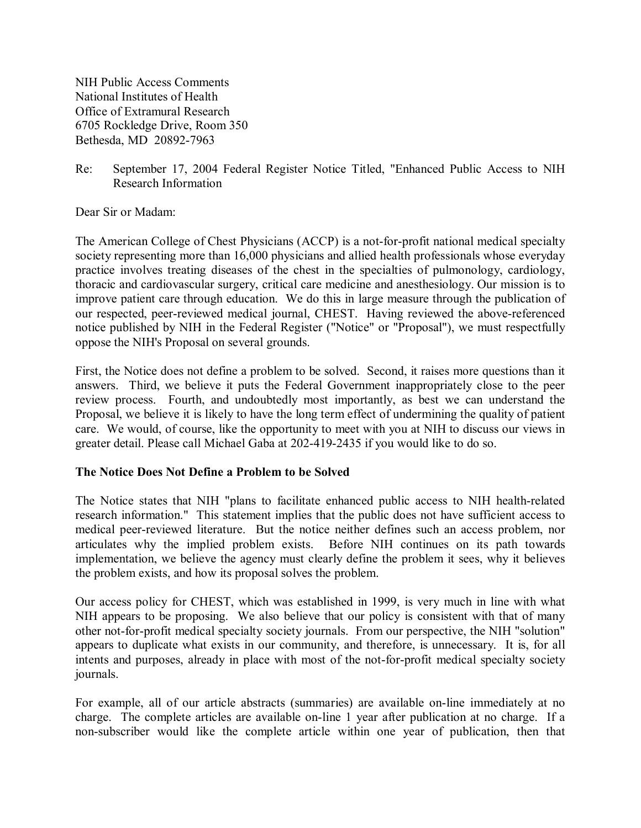NIH Public Access Comments National Institutes of Health Office of Extramural Research 6705 Rockledge Drive, Room 350 Bethesda, MD 20892-7963

Re: September 17, 2004 Federal Register Notice Titled, "Enhanced Public Access to NIH Research Information

Dear Sir or Madam:

The American College of Chest Physicians (ACCP) is a not-for-profit national medical specialty society representing more than 16,000 physicians and allied health professionals whose everyday practice involves treating diseases of the chest in the specialties of pulmonology, cardiology, thoracic and cardiovascular surgery, critical care medicine and anesthesiology. Our mission is to improve patient care through education. We do this in large measure through the publication of our respected, peer-reviewed medical journal, CHEST. Having reviewed the above-referenced notice published by NIH in the Federal Register ("Notice" or "Proposal"), we must respectfully oppose the NIH's Proposal on several grounds.

First, the Notice does not define a problem to be solved. Second, it raises more questions than it answers. Third, we believe it puts the Federal Government inappropriately close to the peer review process. Fourth, and undoubtedly most importantly, as best we can understand the Proposal, we believe it is likely to have the long term effect of undermining the quality of patient care. We would, of course, like the opportunity to meet with you at NIH to discuss our views in greater detail. Please call Michael Gaba at 202-419-2435 if you would like to do so.

## **The Notice Does Not Define a Problem to be Solved**

The Notice states that NIH "plans to facilitate enhanced public access to NIH health-related research information." This statement implies that the public does not have sufficient access to medical peer-reviewed literature. But the notice neither defines such an access problem, nor articulates why the implied problem exists. Before NIH continues on its path towards implementation, we believe the agency must clearly define the problem it sees, why it believes the problem exists, and how its proposal solves the problem.

Our access policy for CHEST, which was established in 1999, is very much in line with what NIH appears to be proposing. We also believe that our policy is consistent with that of many other not-for-profit medical specialty society journals. From our perspective, the NIH "solution" appears to duplicate what exists in our community, and therefore, is unnecessary. It is, for all intents and purposes, already in place with most of the not-for-profit medical specialty society journals.

For example, all of our article abstracts (summaries) are available on-line immediately at no charge. The complete articles are available on-line 1 year after publication at no charge. If a non-subscriber would like the complete article within one year of publication, then that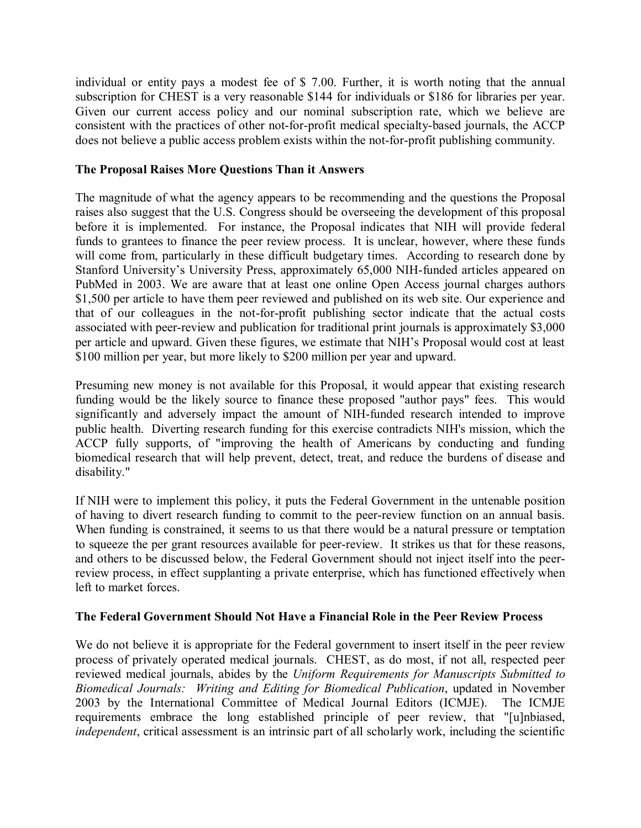individual or entity pays a modest fee of \$ 7.00. Further, it is worth noting that the annual subscription for CHEST is a very reasonable \$144 for individuals or \$186 for libraries per year. Given our current access policy and our nominal subscription rate, which we believe are consistent with the practices of other not-for-profit medical specialty-based journals, the ACCP does not believe a public access problem exists within the not-for-profit publishing community.

## **The Proposal Raises More Questions Than it Answers**

The magnitude of what the agency appears to be recommending and the questions the Proposal raises also suggest that the U.S. Congress should be overseeing the development of this proposal before it is implemented. For instance, the Proposal indicates that NIH will provide federal funds to grantees to finance the peer review process. It is unclear, however, where these funds will come from, particularly in these difficult budgetary times. According to research done by Stanford University's University Press, approximately 65,000 NIH-funded articles appeared on PubMed in 2003. We are aware that at least one online Open Access journal charges authors \$1,500 per article to have them peer reviewed and published on its web site. Our experience and that of our colleagues in the not-for-profit publishing sector indicate that the actual costs associated with peer-review and publication for traditional print journals is approximately \$3,000 per article and upward. Given these figures, we estimate that NIH's Proposal would cost at least \$100 million per year, but more likely to \$200 million per year and upward.

Presuming new money is not available for this Proposal, it would appear that existing research funding would be the likely source to finance these proposed "author pays" fees. This would significantly and adversely impact the amount of NIH-funded research intended to improve public health. Diverting research funding for this exercise contradicts NIH's mission, which the ACCP fully supports, of "improving the health of Americans by conducting and funding biomedical research that will help prevent, detect, treat, and reduce the burdens of disease and disability."

If NIH were to implement this policy, it puts the Federal Government in the untenable position of having to divert research funding to commit to the peer-review function on an annual basis. When funding is constrained, it seems to us that there would be a natural pressure or temptation to squeeze the per grant resources available for peer-review. It strikes us that for these reasons, and others to be discussed below, the Federal Government should not inject itself into the peerreview process, in effect supplanting a private enterprise, which has functioned effectively when left to market forces.

## **The Federal Government Should Not Have a Financial Role in the Peer Review Process**

We do not believe it is appropriate for the Federal government to insert itself in the peer review process of privately operated medical journals. CHEST, as do most, if not all, respected peer reviewed medical journals, abides by the *Uniform Requirements for Manuscripts Submitted to Biomedical Journals: Writing and Editing for Biomedical Publication*, updated in November 2003 by the International Committee of Medical Journal Editors (ICMJE). The ICMJE requirements embrace the long established principle of peer review, that "[u]nbiased, *independent*, critical assessment is an intrinsic part of all scholarly work, including the scientific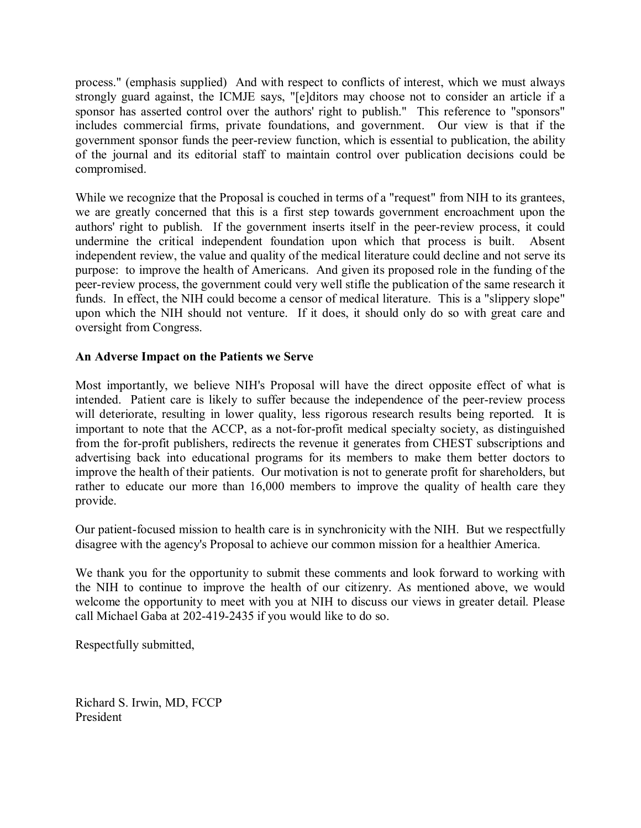process." (emphasis supplied) And with respect to conflicts of interest, which we must always strongly guard against, the ICMJE says, "[e]ditors may choose not to consider an article if a sponsor has asserted control over the authors' right to publish." This reference to "sponsors" includes commercial firms, private foundations, and government. Our view is that if the government sponsor funds the peer-review function, which is essential to publication, the ability of the journal and its editorial staff to maintain control over publication decisions could be compromised.

While we recognize that the Proposal is couched in terms of a "request" from NIH to its grantees, we are greatly concerned that this is a first step towards government encroachment upon the authors' right to publish. If the government inserts itself in the peer-review process, it could undermine the critical independent foundation upon which that process is built. Absent independent review, the value and quality of the medical literature could decline and not serve its purpose: to improve the health of Americans. And given its proposed role in the funding of the peer-review process, the government could very well stifle the publication of the same research it funds. In effect, the NIH could become a censor of medical literature. This is a "slippery slope" upon which the NIH should not venture. If it does, it should only do so with great care and oversight from Congress.

## **An Adverse Impact on the Patients we Serve**

Most importantly, we believe NIH's Proposal will have the direct opposite effect of what is intended. Patient care is likely to suffer because the independence of the peer-review process will deteriorate, resulting in lower quality, less rigorous research results being reported. It is important to note that the ACCP, as a not-for-profit medical specialty society, as distinguished from the for-profit publishers, redirects the revenue it generates from CHEST subscriptions and advertising back into educational programs for its members to make them better doctors to improve the health of their patients. Our motivation is not to generate profit for shareholders, but rather to educate our more than 16,000 members to improve the quality of health care they provide.

Our patient-focused mission to health care is in synchronicity with the NIH. But we respectfully disagree with the agency's Proposal to achieve our common mission for a healthier America.

We thank you for the opportunity to submit these comments and look forward to working with the NIH to continue to improve the health of our citizenry. As mentioned above, we would welcome the opportunity to meet with you at NIH to discuss our views in greater detail. Please call Michael Gaba at 202-419-2435 if you would like to do so.

Respectfully submitted,

Richard S. Irwin, MD, FCCP President